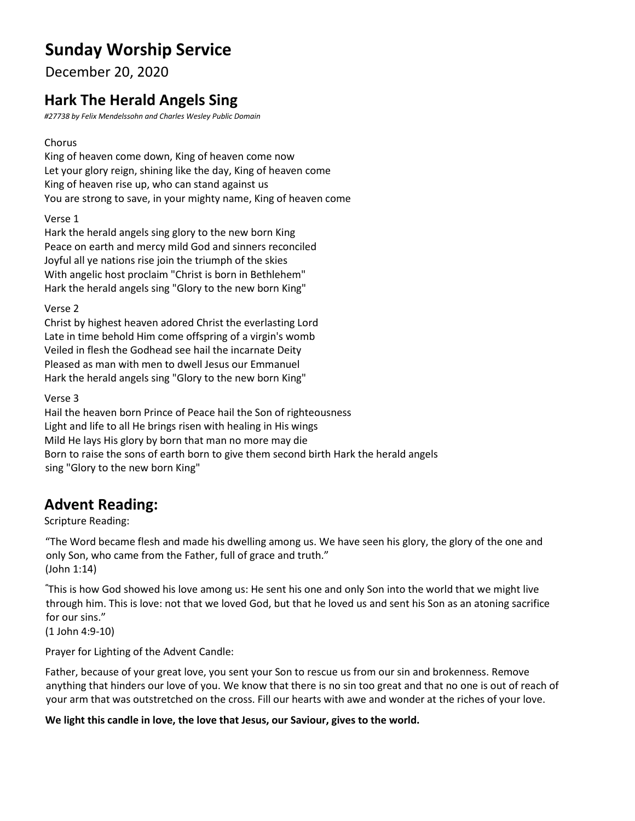# **Sunday Worship Service**

December 20, 2020

## **Hark The Herald Angels Sing**

*#27738 by Felix Mendelssohn and Charles Wesley Public Domain*

### Chorus

King of heaven come down, King of heaven come now Let your glory reign, shining like the day, King of heaven come King of heaven rise up, who can stand against us You are strong to save, in your mighty name, King of heaven come

### Verse 1

Hark the herald angels sing glory to the new born King Peace on earth and mercy mild God and sinners reconciled Joyful all ye nations rise join the triumph of the skies With angelic host proclaim "Christ is born in Bethlehem" Hark the herald angels sing "Glory to the new born King"

#### Verse 2

Christ by highest heaven adored Christ the everlasting Lord Late in time behold Him come offspring of a virgin's womb Veiled in flesh the Godhead see hail the incarnate Deity Pleased as man with men to dwell Jesus our Emmanuel Hark the herald angels sing "Glory to the new born King"

#### Verse 3

Hail the heaven born Prince of Peace hail the Son of righteousness Light and life to all He brings risen with healing in His wings Mild He lays His glory by born that man no more may die Born to raise the sons of earth born to give them second birth Hark the herald angels sing "Glory to the new born King"

## **Advent Reading:**

### Scripture Reading:

"The Word became flesh and made his dwelling among us. We have seen his glory, the glory of the one and only Son, who came from the Father, full of grace and truth." (John 1:14)

**"**This is how God showed his love among us: He sent his one and only Son into the world that we might live through him. This is love: not that we loved God, but that he loved us and sent his Son as an atoning sacrifice for our sins."

(1 John 4:9-10)

Prayer for Lighting of the Advent Candle:

Father, because of your great love, you sent your Son to rescue us from our sin and brokenness. Remove anything that hinders our love of you. We know that there is no sin too great and that no one is out of reach of your arm that was outstretched on the cross. Fill our hearts with awe and wonder at the riches of your love.

### **We light this candle in love, the love that Jesus, our Saviour, gives to the world.**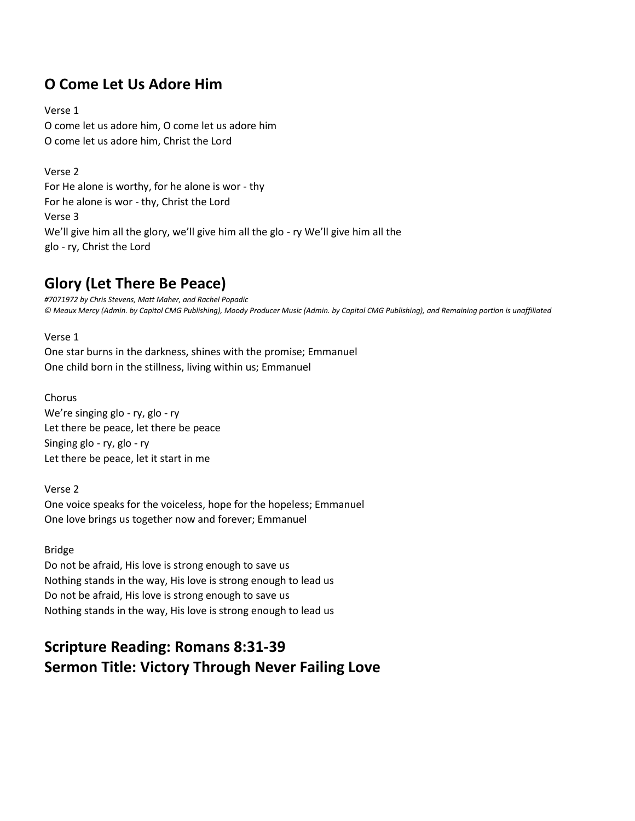## **O Come Let Us Adore Him**

Verse 1 O come let us adore him, O come let us adore him O come let us adore him, Christ the Lord

Verse 2 For He alone is worthy, for he alone is wor - thy For he alone is wor - thy, Christ the Lord Verse 3 We'll give him all the glory, we'll give him all the glo - ry We'll give him all the glo - ry, Christ the Lord

## **Glory (Let There Be Peace)**

*#7071972 by Chris Stevens, Matt Maher, and Rachel Popadic © Meaux Mercy (Admin. by Capitol CMG Publishing), Moody Producer Music (Admin. by Capitol CMG Publishing), and Remaining portion is unaffiliated*

#### Verse 1

One star burns in the darkness, shines with the promise; Emmanuel One child born in the stillness, living within us; Emmanuel

Chorus

We're singing glo - ry, glo - ry Let there be peace, let there be peace Singing glo - ry, glo - ry Let there be peace, let it start in me

Verse 2 One voice speaks for the voiceless, hope for the hopeless; Emmanuel One love brings us together now and forever; Emmanuel

Bridge

Do not be afraid, His love is strong enough to save us Nothing stands in the way, His love is strong enough to lead us Do not be afraid, His love is strong enough to save us Nothing stands in the way, His love is strong enough to lead us

## **Scripture Reading: Romans 8:31-39 Sermon Title: Victory Through Never Failing Love**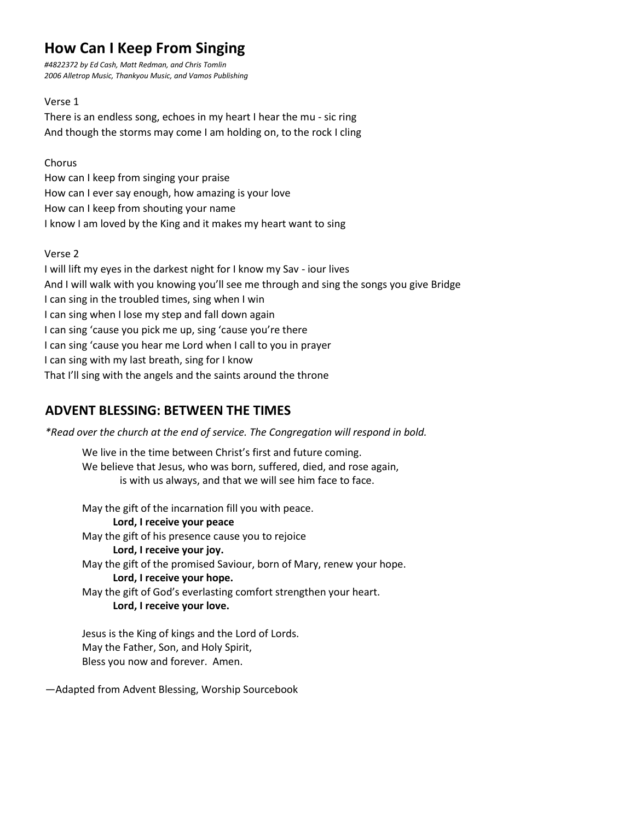## **How Can I Keep From Singing**

*#4822372 by Ed Cash, Matt Redman, and Chris Tomlin 2006 Alletrop Music, Thankyou Music, and Vamos Publishing*

### Verse 1

There is an endless song, echoes in my heart I hear the mu - sic ring And though the storms may come I am holding on, to the rock I cling

## Chorus

How can I keep from singing your praise How can I ever say enough, how amazing is your love How can I keep from shouting your name I know I am loved by the King and it makes my heart want to sing

### Verse 2

I will lift my eyes in the darkest night for I know my Sav - iour lives And I will walk with you knowing you'll see me through and sing the songs you give Bridge I can sing in the troubled times, sing when I win I can sing when I lose my step and fall down again I can sing 'cause you pick me up, sing 'cause you're there I can sing 'cause you hear me Lord when I call to you in prayer I can sing with my last breath, sing for I know That I'll sing with the angels and the saints around the throne

## **ADVENT BLESSING: BETWEEN THE TIMES**

*\*Read over the church at the end of service. The Congregation will respond in bold.*

We live in the time between Christ's first and future coming. We believe that Jesus, who was born, suffered, died, and rose again, is with us always, and that we will see him face to face.

May the gift of the incarnation fill you with peace.

**Lord, I receive your peace** May the gift of his presence cause you to rejoice **Lord, I receive your joy.** May the gift of the promised Saviour, born of Mary, renew your hope. **Lord, I receive your hope.** May the gift of God's everlasting comfort strengthen your heart. **Lord, I receive your love.**

Jesus is the King of kings and the Lord of Lords. May the Father, Son, and Holy Spirit, Bless you now and forever. Amen.

—Adapted from Advent Blessing, Worship Sourcebook